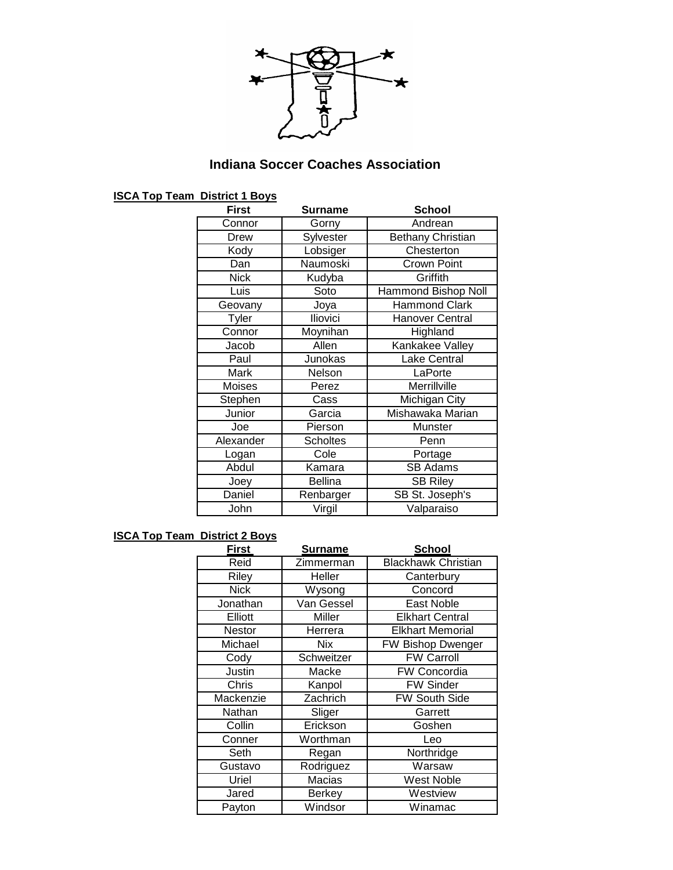

# **Indiana Soccer Coaches Association**

| <b>ISCA Top Team District 1 Boys</b> |  |
|--------------------------------------|--|
|--------------------------------------|--|

| <b>First</b> | <b>Surname</b>  | <b>School</b>              |
|--------------|-----------------|----------------------------|
| Connor       | Gorny           | Andrean                    |
| Drew         | Sylvester       | <b>Bethany Christian</b>   |
| Kody         | Lobsiger        | Chesterton                 |
| Dan          | Naumoski        | <b>Crown Point</b>         |
| <b>Nick</b>  | Kudyba          | Griffith                   |
| Luis         | Soto            | <b>Hammond Bishop Noll</b> |
| Geovany      | Joya            | <b>Hammond Clark</b>       |
| Tyler        | Iliovici        | <b>Hanover Central</b>     |
| Connor       | Moynihan        | Highland                   |
| Jacob        | Allen           | Kankakee Valley            |
| Paul         | Junokas         | Lake Central               |
| Mark         | Nelson          | LaPorte                    |
| Moises       | Perez           | Merrillville               |
| Stephen      | Cass            | Michigan City              |
| Junior       | Garcia          | Mishawaka Marian           |
| Joe          | Pierson         | Munster                    |
| Alexander    | <b>Scholtes</b> | Penn                       |
| Logan        | Cole            | Portage                    |
| Abdul        | Kamara          | <b>SB Adams</b>            |
| Joey         | <b>Bellina</b>  | <b>SB Riley</b>            |
| Daniel       | Renbarger       | SB St. Joseph's            |
| John         | Virgil          | Valparaiso                 |

### **ISCA Top Team District 2 Boys**

| <b>First</b> | Surname       | School                     |
|--------------|---------------|----------------------------|
| Reid         | Zimmerman     | <b>Blackhawk Christian</b> |
| Riley        | Heller        | Canterbury                 |
| <b>Nick</b>  | Wysong        | Concord                    |
| Jonathan     | Van Gessel    | East Noble                 |
| Elliott      | Miller        | <b>Elkhart Central</b>     |
| Nestor       | Herrera       | <b>Elkhart Memorial</b>    |
| Michael      | Nix           | FW Bishop Dwenger          |
| Cody         | Schweitzer    | <b>FW Carroll</b>          |
| Justin       | Macke         | FW Concordia               |
| Chris        | Kanpol        | <b>FW Sinder</b>           |
| Mackenzie    | Zachrich      | FW South Side              |
| Nathan       | Sliger        | Garrett                    |
| Collin       | Erickson      | Goshen                     |
| Conner       | Worthman      | Leo                        |
| Seth         | Regan         | Northridge                 |
| Gustavo      | Rodriguez     | Warsaw                     |
| Uriel        | Macias        | <b>West Noble</b>          |
| Jared        | <b>Berkey</b> | Westview                   |
| Payton       | Windsor       | Winamac                    |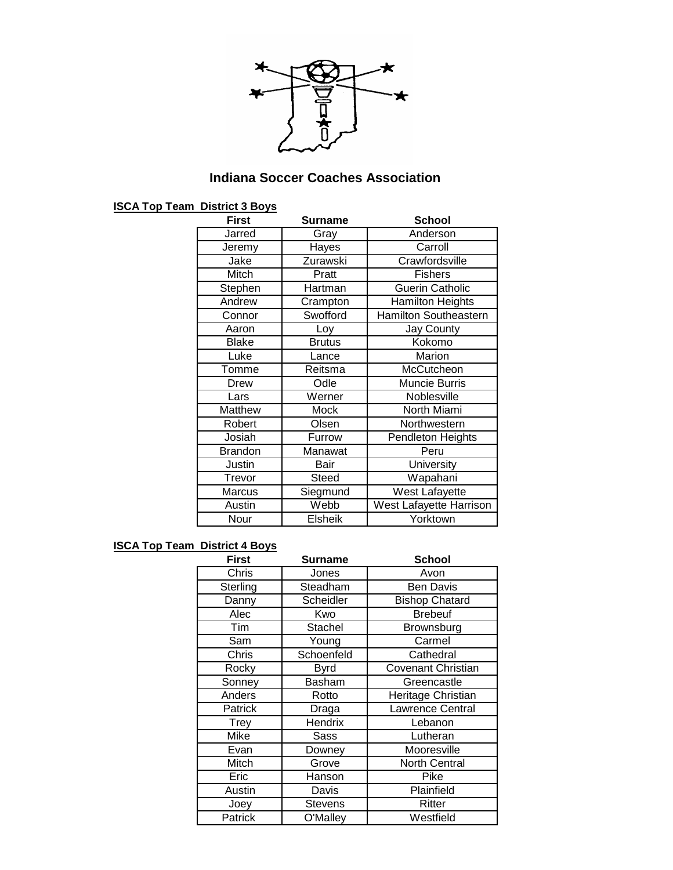

## **Indiana Soccer Coaches Association**

#### **ISCA Top Team District 3 Boys**

| <b>First</b>   | <b>Surname</b> | <b>School</b>                |
|----------------|----------------|------------------------------|
| Jarred         | Gray           | Anderson                     |
| Jeremy         | Hayes          | Carroll                      |
| Jake           | Zurawski       | Crawfordsville               |
| Mitch          | Pratt          | <b>Fishers</b>               |
| Stephen        | Hartman        | <b>Guerin Catholic</b>       |
| Andrew         | Crampton       | <b>Hamilton Heights</b>      |
| Connor         | Swofford       | <b>Hamilton Southeastern</b> |
| Aaron          | Loy            | <b>Jay County</b>            |
| <b>Blake</b>   | <b>Brutus</b>  | Kokomo                       |
| Luke           | Lance          | Marion                       |
| Tomme          | Reitsma        | McCutcheon                   |
| Drew           | Odle           | <b>Muncie Burris</b>         |
| Lars           | Werner         | Noblesville                  |
| Matthew        | <b>Mock</b>    | North Miami                  |
| Robert         | Olsen          | Northwestern                 |
| Josiah         | Furrow         | Pendleton Heights            |
| <b>Brandon</b> | Manawat        | Peru                         |
| Justin         | Bair           | University                   |
| Trevor         | <b>Steed</b>   | Wapahani                     |
| <b>Marcus</b>  | Siegmund       | West Lafayette               |
| Austin         | Webb           | West Lafayette Harrison      |
| Nour           | <b>Elsheik</b> | Yorktown                     |

### **ISCA Top Team District 4 Boys**

| <b>First</b> | <b>Surname</b> | <b>School</b>             |
|--------------|----------------|---------------------------|
| Chris        | Jones          | Avon                      |
| Sterling     | Steadham       | <b>Ben Davis</b>          |
| Danny        | Scheidler      | <b>Bishop Chatard</b>     |
| Alec         | Kwo            | <b>Brebeuf</b>            |
| Tim          | Stachel        | Brownsburg                |
| Sam          | Young          | Carmel                    |
| Chris        | Schoenfeld     | Cathedral                 |
| Rocky        | <b>Byrd</b>    | <b>Covenant Christian</b> |
| Sonney       | Basham         | Greencastle               |
| Anders       | Rotto          | Heritage Christian        |
| Patrick      | Draga          | <b>Lawrence Central</b>   |
| <b>Trey</b>  | Hendrix        | Lebanon                   |
| Mike         | Sass           | Lutheran                  |
| Evan         | Downey         | Mooresville               |
| Mitch        | Grove          | <b>North Central</b>      |
| Eric         | Hanson         | Pike                      |
| Austin       | Davis          | Plainfield                |
| Joey         | <b>Stevens</b> | Ritter                    |
| Patrick      | O'Malley       | Westfield                 |